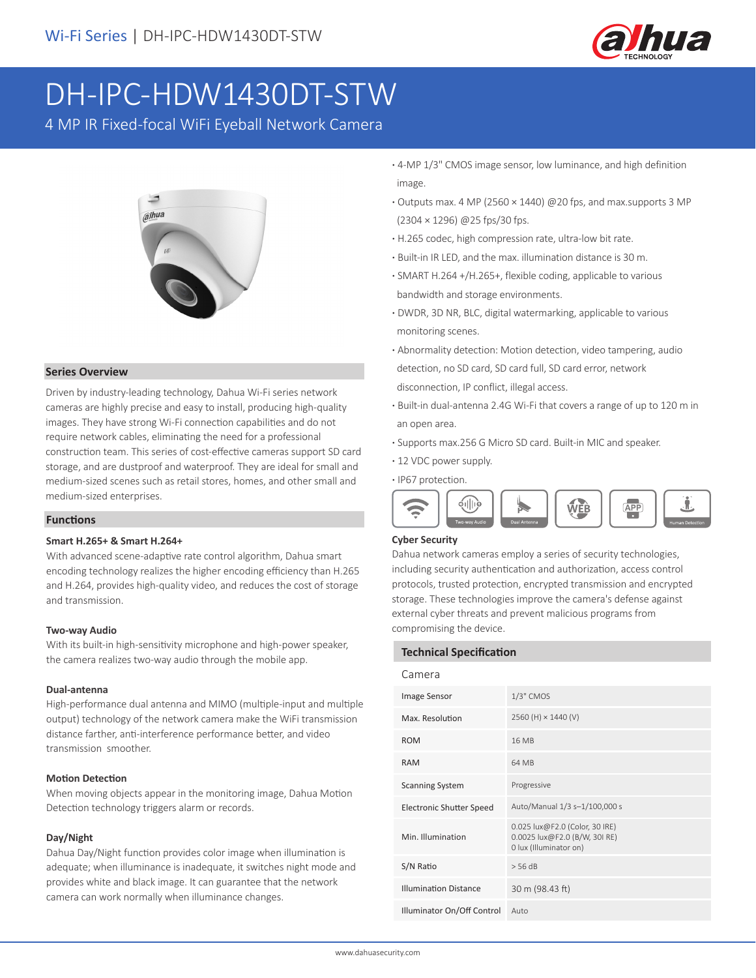

# DH-IPC-HDW1430DT-STW

4 MP IR Fixed-focal WiFi Eyeball Network Camera



## **Series Overview**

Driven by industry-leading technology, Dahua Wi-Fi series network cameras are highly precise and easy to install, producing high-quality images. They have strong Wi-Fi connection capabilities and do not require network cables, eliminating the need for a professional construction team. This series of cost-effective cameras support SD card storage, and are dustproof and waterproof. They are ideal for small and medium-sized scenes such as retail stores, homes, and other small and medium-sized enterprises.

#### **Functions**

#### **Smart H.265+ & Smart H.264+**

With advanced scene-adaptive rate control algorithm, Dahua smart encoding technology realizes the higher encoding efficiency than H.265 and H.264, provides high-quality video, and reduces the cost of storage and transmission.

#### **Two-way Audio**

With its built-in high-sensitivity microphone and high-power speaker, the camera realizes two-way audio through the mobile app.

#### **Dual-antenna**

High-performance dual antenna and MIMO (multiple-input and multiple output) technology of the network camera make the WiFi transmission distance farther, anti-interference performance better, and video transmission smoother.

#### **Motion Detection**

When moving objects appear in the monitoring image, Dahua Motion Detection technology triggers alarm or records.

#### **Day/Night**

Dahua Day/Night function provides color image when illumination is adequate; when illuminance is inadequate, it switches night mode and provides white and black image. It can guarantee that the network camera can work normally when illuminance changes.

- **·** 4-MP 1/3" CMOS image sensor, low luminance, and high definition image.
- **·** Outputs max. 4 MP (2560 × 1440) @20 fps, and max.supports 3 MP (2304 × 1296) @25 fps/30 fps.
- **·** H.265 codec, high compression rate, ultra-low bit rate.
- **·** Built-in IR LED, and the max. illumination distance is 30 m.
- **·** SMART H.264 +/H.265+, flexible coding, applicable to various bandwidth and storage environments.
- **·** DWDR, 3D NR, BLC, digital watermarking, applicable to various monitoring scenes.
- **·** Abnormality detection: Motion detection, video tampering, audio detection, no SD card, SD card full, SD card error, network disconnection, IP conflict, illegal access.
- **·** Built-in dual-antenna 2.4G Wi-Fi that covers a range of up to 120 m in an open area.
- **·** Supports max.256 G Micro SD card. Built-in MIC and speaker.
- **·** 12 VDC power supply.
- **·** IP67 protection.



#### **Cyber Security**

Dahua network cameras employ a series of security technologies, including security authentication and authorization, access control protocols, trusted protection, encrypted transmission and encrypted storage. These technologies improve the camera's defense against external cyber threats and prevent malicious programs from compromising the device.

| <b>Technical Specification</b>  |                                                                                           |  |  |  |
|---------------------------------|-------------------------------------------------------------------------------------------|--|--|--|
| Camera                          |                                                                                           |  |  |  |
| Image Sensor                    | 1/3" CMOS                                                                                 |  |  |  |
| Max. Resolution                 | 2560 (H) × 1440 (V)                                                                       |  |  |  |
| <b>ROM</b>                      | 16 MB                                                                                     |  |  |  |
| <b>RAM</b>                      | 64 MB                                                                                     |  |  |  |
| <b>Scanning System</b>          | Progressive                                                                               |  |  |  |
| <b>Electronic Shutter Speed</b> | Auto/Manual 1/3 s-1/100,000 s                                                             |  |  |  |
| Min. Illumination               | 0.025 lux@F2.0 (Color, 30 IRE)<br>0.0025 lux@F2.0 (B/W, 30I RE)<br>0 lux (Illuminator on) |  |  |  |
| S/N Ratio                       | $>$ 56 dB                                                                                 |  |  |  |
| <b>Illumination Distance</b>    | 30 m (98.43 ft)                                                                           |  |  |  |
| Illuminator On/Off Control      | Auto                                                                                      |  |  |  |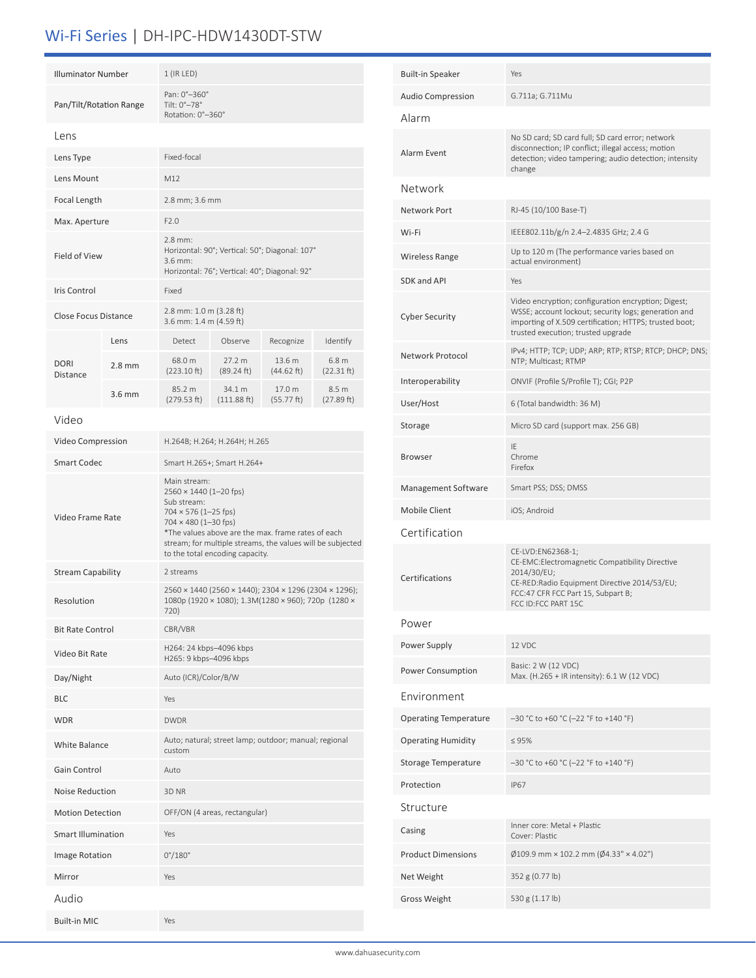# Wi-Fi Series | DH-IPC-HDW1430DT-STW

| <b>Illuminator Number</b>                 |                                  | $1$ (IR LED)                                                                                                                                                                                                                                                               |                               |                      |                                |  |
|-------------------------------------------|----------------------------------|----------------------------------------------------------------------------------------------------------------------------------------------------------------------------------------------------------------------------------------------------------------------------|-------------------------------|----------------------|--------------------------------|--|
| Pan/Tilt/Rotation Range                   |                                  | Pan: 0°-360°<br>Tilt: 0°-78°<br>Rotation: 0°-360°                                                                                                                                                                                                                          |                               |                      |                                |  |
| Lens                                      |                                  |                                                                                                                                                                                                                                                                            |                               |                      |                                |  |
| Lens Type                                 |                                  | Fixed-focal                                                                                                                                                                                                                                                                |                               |                      |                                |  |
| Lens Mount                                |                                  | M12                                                                                                                                                                                                                                                                        |                               |                      |                                |  |
| Focal Length                              |                                  | 2.8 mm; 3.6 mm                                                                                                                                                                                                                                                             |                               |                      |                                |  |
|                                           | Max. Aperture                    |                                                                                                                                                                                                                                                                            | F2.0                          |                      |                                |  |
| <b>Field of View</b>                      |                                  | $2.8$ mm:<br>Horizontal: 90°; Vertical: 50°; Diagonal: 107°<br>$3.6$ mm:<br>Horizontal: 76°; Vertical: 40°; Diagonal: 92°                                                                                                                                                  |                               |                      |                                |  |
| Iris Control                              |                                  | Fixed                                                                                                                                                                                                                                                                      |                               |                      |                                |  |
| Close Focus Distance                      |                                  | 2.8 mm: 1.0 m (3.28 ft)<br>3.6 mm: 1.4 m (4.59 ft)                                                                                                                                                                                                                         |                               |                      |                                |  |
|                                           | Lens                             | Detect                                                                                                                                                                                                                                                                     | Observe                       | Recognize            | Identify                       |  |
| <b>DORI</b><br>Distance                   | $2.8$ mm                         | 68.0 m<br>(223.10 ft)                                                                                                                                                                                                                                                      | 27.2 m<br>(89.24 ft)          | 13.6 m<br>(44.62 ft) | 6.8 <sub>m</sub><br>(22.31 ft) |  |
|                                           | $3.6$ mm                         | 85.2 m<br>(279.53 ft)                                                                                                                                                                                                                                                      | 34.1 m<br>(111.88 ft)         | 17.0 m<br>(55.77 ft) | 8.5 m<br>(27.89 ft)            |  |
| Video                                     |                                  |                                                                                                                                                                                                                                                                            |                               |                      |                                |  |
| Video Compression                         |                                  | H.264B; H.264; H.264H; H.265                                                                                                                                                                                                                                               |                               |                      |                                |  |
| <b>Smart Codec</b>                        |                                  | Smart H.265+; Smart H.264+                                                                                                                                                                                                                                                 |                               |                      |                                |  |
| Video Frame Rate                          |                                  | Main stream:<br>2560 × 1440 (1-20 fps)<br>Sub stream:<br>$704 \times 576$ (1-25 fps)<br>$704 \times 480$ (1-30 fps)<br>*The values above are the max. frame rates of each<br>stream; for multiple streams, the values will be subjected<br>to the total encoding capacity. |                               |                      |                                |  |
| <b>Stream Capability</b>                  | 2 streams                        |                                                                                                                                                                                                                                                                            |                               |                      |                                |  |
| Resolution                                |                                  | 2560 × 1440 (2560 × 1440); 2304 × 1296 (2304 × 1296);<br>1080p (1920 × 1080); 1.3M(1280 × 960); 720p (1280 ×<br>720)                                                                                                                                                       |                               |                      |                                |  |
| <b>Bit Rate Control</b>                   |                                  | CBR/VBR                                                                                                                                                                                                                                                                    |                               |                      |                                |  |
| Video Bit Rate                            |                                  | H264: 24 kbps-4096 kbps<br>H265: 9 kbps-4096 kbps                                                                                                                                                                                                                          |                               |                      |                                |  |
| Day/Night                                 |                                  | Auto (ICR)/Color/B/W                                                                                                                                                                                                                                                       |                               |                      |                                |  |
| <b>BLC</b>                                |                                  | Yes                                                                                                                                                                                                                                                                        |                               |                      |                                |  |
| <b>WDR</b>                                |                                  | <b>DWDR</b>                                                                                                                                                                                                                                                                |                               |                      |                                |  |
| <b>White Balance</b>                      |                                  | Auto; natural; street lamp; outdoor; manual; regional<br>custom                                                                                                                                                                                                            |                               |                      |                                |  |
| Gain Control                              |                                  | Auto                                                                                                                                                                                                                                                                       |                               |                      |                                |  |
|                                           | <b>Noise Reduction</b><br>3D NR  |                                                                                                                                                                                                                                                                            |                               |                      |                                |  |
| <b>Motion Detection</b>                   |                                  |                                                                                                                                                                                                                                                                            | OFF/ON (4 areas, rectangular) |                      |                                |  |
|                                           | <b>Smart Illumination</b><br>Yes |                                                                                                                                                                                                                                                                            |                               |                      |                                |  |
| $0^{\circ}/180^{\circ}$<br>Image Rotation |                                  |                                                                                                                                                                                                                                                                            |                               |                      |                                |  |
| Mirror                                    | Yes                              |                                                                                                                                                                                                                                                                            |                               |                      |                                |  |
| Audio                                     |                                  |                                                                                                                                                                                                                                                                            |                               |                      |                                |  |
| <b>Built-in MIC</b>                       |                                  | Yes                                                                                                                                                                                                                                                                        |                               |                      |                                |  |

| <b>Built-in Speaker</b>      | Yes                                                                                                                                                                                                         |  |
|------------------------------|-------------------------------------------------------------------------------------------------------------------------------------------------------------------------------------------------------------|--|
| <b>Audio Compression</b>     | G.711a; G.711Mu                                                                                                                                                                                             |  |
| Alarm                        |                                                                                                                                                                                                             |  |
| Alarm Event                  | No SD card; SD card full; SD card error; network<br>disconnection; IP conflict; illegal access; motion<br>detection; video tampering; audio detection; intensity<br>change                                  |  |
| Network                      |                                                                                                                                                                                                             |  |
| Network Port                 | RJ-45 (10/100 Base-T)                                                                                                                                                                                       |  |
| Wi-Fi                        | IEEE802.11b/g/n 2.4-2.4835 GHz; 2.4 G                                                                                                                                                                       |  |
| Wireless Range               | Up to 120 m (The performance varies based on<br>actual environment)                                                                                                                                         |  |
| SDK and API                  | Yes                                                                                                                                                                                                         |  |
| <b>Cyber Security</b>        | Video encryption; configuration encryption; Digest;<br>WSSE; account lockout; security logs; generation and<br>importing of X.509 certification; HTTPS; trusted boot;<br>trusted execution; trusted upgrade |  |
| Network Protocol             | IPv4; HTTP; TCP; UDP; ARP; RTP; RTSP; RTCP; DHCP; DNS;<br>NTP; Multicast; RTMP                                                                                                                              |  |
| Interoperability             | ONVIF (Profile S/Profile T); CGI; P2P                                                                                                                                                                       |  |
| User/Host                    | 6 (Total bandwidth: 36 M)                                                                                                                                                                                   |  |
| Storage                      | Micro SD card (support max. 256 GB)                                                                                                                                                                         |  |
| <b>Browser</b>               | IF<br>Chrome<br>Firefox                                                                                                                                                                                     |  |
| Management Software          | Smart PSS; DSS; DMSS                                                                                                                                                                                        |  |
| Mobile Client                | iOS; Android                                                                                                                                                                                                |  |
| Certification                |                                                                                                                                                                                                             |  |
| Certifications               | CE-LVD:EN62368-1;<br>CE-EMC:Electromagnetic Compatibility Directive<br>2014/30/EU;<br>CE-RED:Radio Equipment Directive 2014/53/EU;<br>FCC:47 CFR FCC Part 15, Subpart B;<br>FCC ID:FCC PART 15C             |  |
| Power                        |                                                                                                                                                                                                             |  |
| Power Supply                 | 12 VDC                                                                                                                                                                                                      |  |
| Power Consumption            | Basic: 2 W (12 VDC)<br>Max. (H.265 + IR intensity): 6.1 W (12 VDC)                                                                                                                                          |  |
| Environment                  |                                                                                                                                                                                                             |  |
| <b>Operating Temperature</b> | $-30$ °C to +60 °C (-22 °F to +140 °F)                                                                                                                                                                      |  |
| <b>Operating Humidity</b>    | $\leq 95\%$                                                                                                                                                                                                 |  |
| Storage Temperature          | $-30$ °C to +60 °C (-22 °F to +140 °F)                                                                                                                                                                      |  |
| Protection                   | <b>IP67</b>                                                                                                                                                                                                 |  |
| Structure                    |                                                                                                                                                                                                             |  |
| Casing                       | Inner core: Metal + Plastic<br>Cover: Plastic                                                                                                                                                               |  |
| <b>Product Dimensions</b>    | $\emptyset$ 109.9 mm × 102.2 mm ( $\emptyset$ 4.33" × 4.02")                                                                                                                                                |  |
| Net Weight                   | 352 g (0.77 lb)                                                                                                                                                                                             |  |
| <b>Gross Weight</b>          | 530 g (1.17 lb)                                                                                                                                                                                             |  |
|                              |                                                                                                                                                                                                             |  |